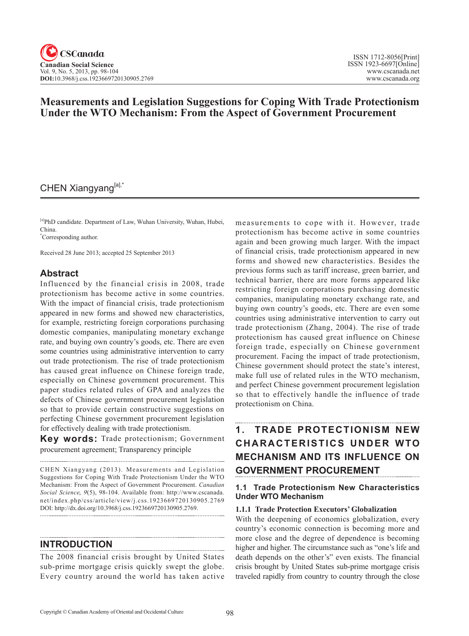# **Measurements and Legislation Suggestions for Coping With Trade Protectionism Under the WTO Mechanism: From the Aspect of Government Procurement**

## CHEN Xiangyang[a],\*

[a]PhD candidate. Department of Law, Wuhan University, Wuhan, Hubei, China.

\* Corresponding author.

Received 28 June 2013; accepted 25 September 2013

### **Abstract**

Influenced by the financial crisis in 2008, trade protectionism has become active in some countries. With the impact of financial crisis, trade protectionism appeared in new forms and showed new characteristics, for example, restricting foreign corporations purchasing domestic companies, manipulating monetary exchange rate, and buying own country's goods, etc. There are even some countries using administrative intervention to carry out trade protectionism. The rise of trade protectionism has caused great influence on Chinese foreign trade, especially on Chinese government procurement. This paper studies related rules of GPA and analyzes the defects of Chinese government procurement legislation so that to provide certain constructive suggestions on perfecting Chinese government procurement legislation for effectively dealing with trade protectionism.

**Key words:** Trade protectionism; Government procurement agreement; Transparency principle

CHEN Xiangyang (2013). Measurements and Legislation Suggestions for Coping With Trade Protectionism Under the WTO Mechanism: From the Aspect of Government Procurement. *Canadian Social Science*, <sup>9</sup>(5), 98-104. Available from: http://www.cscanada. net/index.php/css/article/view/j.css.1923669720130905.2769 DOI: http://dx.doi.org/10.3968/j.css.1923669720130905.2769.

#### **INTRODUCTION**

The 2008 financial crisis brought by United States sub-prime mortgage crisis quickly swept the globe. Every country around the world has taken active

measurements to cope with it. However, trade protectionism has become active in some countries again and been growing much larger. With the impact of financial crisis, trade protectionism appeared in new forms and showed new characteristics. Besides the previous forms such as tariff increase, green barrier, and technical barrier, there are more forms appeared like restricting foreign corporations purchasing domestic companies, manipulating monetary exchange rate, and buying own country's goods, etc. There are even some countries using administrative intervention to carry out trade protectionism (Zhang, 2004). The rise of trade protectionism has caused great influence on Chinese foreign trade, especially on Chinese government procurement. Facing the impact of trade protectionism, Chinese government should protect the state's interest, make full use of related rules in the WTO mechanism, and perfect Chinese government procurement legislation so that to effectively handle the influence of trade protectionism on China.

# **1. TRADE PROTECTIONISM NEW C H A R A C TER ISTIC S U N D ER WTO MECHANISM AND ITS INFLUENCE ON GOVERNMENT PROCUREMENT**

#### **1.1 Trade Protectionism New Characteristics Under WTO Mechanism**

#### **1.1.1 Trade Protection Executors' Globalization**

With the deepening of economics globalization, every country's economic connection is becoming more and more close and the degree of dependence is becoming higher and higher. The circumstance such as "one's life and death depends on the other's" even exists. The financial crisis brought by United States sub-prime mortgage crisis traveled rapidly from country to country through the close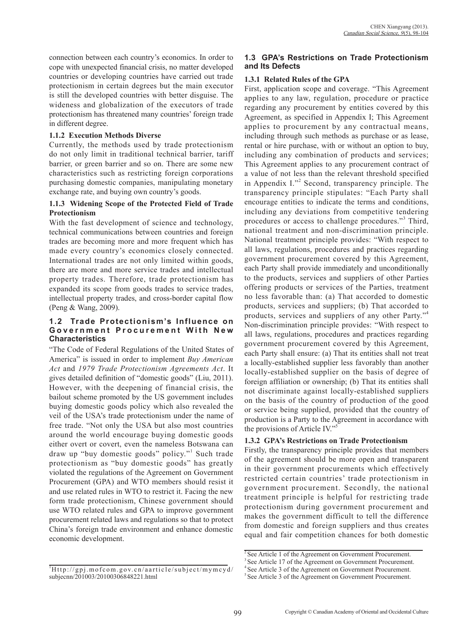connection between each country's economics. In order to cope with unexpected financial crisis, no matter developed countries or developing countries have carried out trade protectionism in certain degrees but the main executor is still the developed countries with better disguise. The wideness and globalization of the executors of trade protectionism has threatened many countries' foreign trade in different degree.

#### **1.1.2 Execution Methods Diverse**

Currently, the methods used by trade protectionism do not only limit in traditional technical barrier, tariff barrier, or green barrier and so on. There are some new characteristics such as restricting foreign corporations purchasing domestic companies, manipulating monetary exchange rate, and buying own country's goods.

#### **1.1.3 Widening Scope of the Protected Field of Trade Protectionism**

With the fast development of science and technology, technical communications between countries and foreign trades are becoming more and more frequent which has made every country's economics closely connected. International trades are not only limited within goods, there are more and more service trades and intellectual property trades. Therefore, trade protectionism has expanded its scope from goods trades to service trades, intellectual property trades, and cross-border capital flow (Peng & Wang, 2009).

#### **1.2 Trade Protectionism's Influence on**  Government Procurement With New **Characteristics**

"The Code of Federal Regulations of the United States of America" is issued in order to implement *Buy American Act* and *1979 Trade Protectionism Agreements Act*. It gives detailed definition of "domestic goods" (Liu, 2011). However, with the deepening of financial crisis, the bailout scheme promoted by the US government includes buying domestic goods policy which also revealed the veil of the USA's trade protectionism under the name of free trade. "Not only the USA but also most countries around the world encourage buying domestic goods either overt or covert, even the nameless Botswana can draw up "buy domestic goods" policy."<sup>1</sup> Such trade protectionism as "buy domestic goods" has greatly violated the regulations of the Agreement on Government Procurement (GPA) and WTO members should resist it and use related rules in WTO to restrict it. Facing the new form trade protectionism, Chinese government should use WTO related rules and GPA to improve government procurement related laws and regulations so that to protect China's foreign trade environment and enhance domestic economic development.

#### 1 Http://gpj.mofcom.gov.cn/aarticle/subject/mymcyd/ subjecnn/201003/20100306848221.html

### **1.3 GPA's Restrictions on Trade Protectionism and Its Defects**

#### **1.3.1 Related Rules of the GPA**

First, application scope and coverage. "This Agreement applies to any law, regulation, procedure or practice regarding any procurement by entities covered by this Agreement, as specified in Appendix I; This Agreement applies to procurement by any contractual means, including through such methods as purchase or as lease, rental or hire purchase, with or without an option to buy, including any combination of products and services; This Agreement applies to any procurement contract of a value of not less than the relevant threshold specified in Appendix I."<sup>2</sup> Second, transparency principle. The transparency principle stipulates: "Each Party shall encourage entities to indicate the terms and conditions, including any deviations from competitive tendering procedures or access to challenge procedures."<sup>3</sup> Third, national treatment and non-discrimination principle. National treatment principle provides: "With respect to all laws, regulations, procedures and practices regarding government procurement covered by this Agreement, each Party shall provide immediately and unconditionally to the products, services and suppliers of other Parties offering products or services of the Parties, treatment no less favorable than: (a) That accorded to domestic products, services and suppliers; (b) That accorded to products, services and suppliers of any other Party."<sup>4</sup> Non-discrimination principle provides: "With respect to all laws, regulations, procedures and practices regarding government procurement covered by this Agreement, each Party shall ensure: (a) That its entities shall not treat a locally-established supplier less favorably than another locally-established supplier on the basis of degree of foreign affiliation or ownership; (b) That its entities shall not discriminate against locally-established suppliers on the basis of the country of production of the good or service being supplied, provided that the country of production is a Party to the Agreement in accordance with the provisions of Article IV."5

#### **1.3.2 GPA's Restrictions on Trade Protectionism**

Firstly, the transparency principle provides that members of the agreement should be more open and transparent in their government procurements which effectively restricted certain countries' trade protectionism in government procurement. Secondly, the national treatment principle is helpful for restricting trade protectionism during government procurement and makes the government difficult to tell the difference from domestic and foreign suppliers and thus creates equal and fair competition chances for both domestic

<sup>&</sup>lt;sup>2</sup> See Article 1 of the Agreement on Government Procurement.

<sup>&</sup>lt;sup>3</sup> See Article 17 of the Agreement on Government Procurement.

<sup>4</sup> See Article 3 of the Agreement on Government Procurement.

<sup>5</sup> See Article 3 of the Agreement on Government Procurement.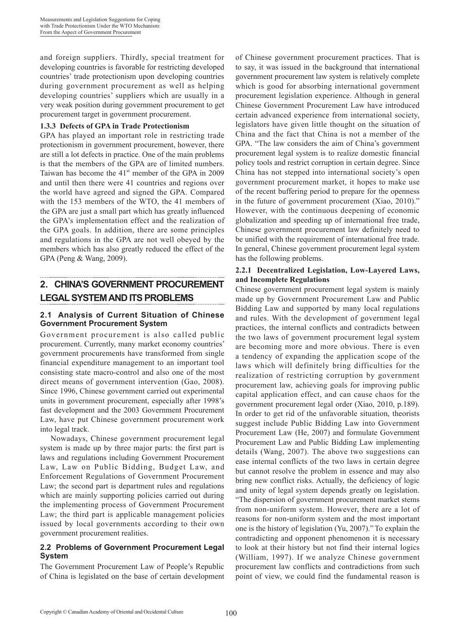and foreign suppliers. Thirdly, special treatment for developing countries is favorable for restricting developed countries' trade protectionism upon developing countries during government procurement as well as helping developing countries' suppliers which are usually in a very weak position during government procurement to get procurement target in government procurement.

#### **1.3.3 Defects of GPA in Trade Protectionism**

GPA has played an important role in restricting trade protectionism in government procurement, however, there are still a lot defects in practice. One of the main problems is that the members of the GPA are of limited numbers. Taiwan has become the  $41<sup>st</sup>$  member of the GPA in 2009 and until then there were 41 countries and regions over the world have agreed and signed the GPA. Compared with the 153 members of the WTO, the 41 members of the GPA are just a small part which has greatly influenced the GPA's implementation effect and the realization of the GPA goals. In addition, there are some principles and regulations in the GPA are not well obeyed by the members which has also greatly reduced the effect of the GPA (Peng & Wang, 2009).

# **2. CHINA'S GOVERNMENT PROCUREMENT LEGAL SYSTEM AND ITS PROBLEMS**

#### **2.1 Analysis of Current Situation of Chinese Government Procurement System**

Government procurement is also called public procurement. Currently, many market economy countries' government procurements have transformed from single financial expenditure management to an important tool consisting state macro-control and also one of the most direct means of government intervention (Gao, 2008). Since 1996, Chinese government carried out experimental units in government procurement, especially after 1998's fast development and the 2003 Government Procurement Law, have put Chinese government procurement work into legal track.

Nowadays, Chinese government procurement legal system is made up by three major parts: the first part is laws and regulations including Government Procurement Law, Law on Public Bidding, Budget Law, and Enforcement Regulations of Government Procurement Law; the second part is department rules and regulations which are mainly supporting policies carried out during the implementing process of Government Procurement Law; the third part is applicable management policies issued by local governments according to their own government procurement realities.

#### **2.2 Problems of Government Procurement Legal System**

The Government Procurement Law of People's Republic of China is legislated on the base of certain development of Chinese government procurement practices. That is to say, it was issued in the background that international government procurement law system is relatively complete which is good for absorbing international government procurement legislation experience. Although in general Chinese Government Procurement Law have introduced certain advanced experience from international society, legislators have given little thought on the situation of China and the fact that China is not a member of the GPA. "The law considers the aim of China's government procurement legal system is to realize domestic financial policy tools and restrict corruption in certain degree. Since China has not stepped into international society's open government procurement market, it hopes to make use of the recent buffering period to prepare for the openness in the future of government procurement (Xiao, 2010)." However, with the continuous deepening of economic globalization and speeding up of international free trade, Chinese government procurement law definitely need to be unified with the requirement of international free trade. In general, Chinese government procurement legal system has the following problems.

#### **2.2.1 Decentralized Legislation, Low-Layered Laws, and Incomplete Regulations**

Chinese government procurement legal system is mainly made up by Government Procurement Law and Public Bidding Law and supported by many local regulations and rules. With the development of government legal practices, the internal conflicts and contradicts between the two laws of government procurement legal system are becoming more and more obvious. There is even a tendency of expanding the application scope of the laws which will definitely bring difficulties for the realization of restricting corruption by government procurement law, achieving goals for improving public capital application effect, and can cause chaos for the government procurement legal order (Xiao, 2010, p.189). In order to get rid of the unfavorable situation, theorists suggest include Public Bidding Law into Government Procurement Law (He, 2007) and formulate Government Procurement Law and Public Bidding Law implementing details (Wang, 2007). The above two suggestions can ease internal conflicts of the two laws in certain degree but cannot resolve the problem in essence and may also bring new conflict risks. Actually, the deficiency of logic and unity of legal system depends greatly on legislation. "The dispersion of government procurement market stems from non-uniform system. However, there are a lot of reasons for non-uniform system and the most important one is the history of legislation (Yu, 2007)."To explain the contradicting and opponent phenomenon it is necessary to look at their history but not find their internal logics (William, 1997). If we analyze Chinese government procurement law conflicts and contradictions from such point of view, we could find the fundamental reason is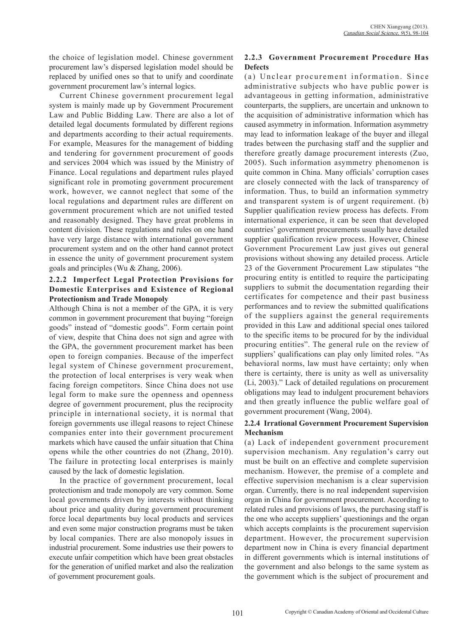the choice of legislation model. Chinese government procurement law's dispersed legislation model should be replaced by unified ones so that to unify and coordinate government procurement law's internal logics.

Current Chinese government procurement legal system is mainly made up by Government Procurement Law and Public Bidding Law. There are also a lot of detailed legal documents formulated by different regions and departments according to their actual requirements. For example, Measures for the management of bidding and tendering for government procurement of goods and services 2004 which was issued by the Ministry of Finance. Local regulations and department rules played significant role in promoting government procurement work, however, we cannot neglect that some of the local regulations and department rules are different on government procurement which are not unified tested and reasonably designed. They have great problems in content division. These regulations and rules on one hand have very large distance with international government procurement system and on the other hand cannot protect in essence the unity of government procurement system goals and principles (Wu & Zhang, 2006).

#### **2.2.2 Imperfect Legal Protection Provisions for Domestic Enterprises and Existence of Regional Protectionism and Trade Monopoly**

Although China is not a member of the GPA, it is very common in government procurement that buying "foreign goods" instead of "domestic goods". Form certain point of view, despite that China does not sign and agree with the GPA, the government procurement market has been open to foreign companies. Because of the imperfect legal system of Chinese government procurement, the protection of local enterprises is very weak when facing foreign competitors. Since China does not use legal form to make sure the openness and openness degree of government procurement, plus the reciprocity principle in international society, it is normal that foreign governments use illegal reasons to reject Chinese companies enter into their government procurement markets which have caused the unfair situation that China opens while the other countries do not (Zhang, 2010). The failure in protecting local enterprises is mainly caused by the lack of domestic legislation.

In the practice of government procurement, local protectionism and trade monopoly are very common. Some local governments driven by interests without thinking about price and quality during government procurement force local departments buy local products and services and even some major construction programs must be taken by local companies. There are also monopoly issues in industrial procurement. Some industries use their powers to execute unfair competition which have been great obstacles for the generation of unified market and also the realization of government procurement goals.

### **2.2.3 Government Procurement Procedure Has Defects**

(a) Unclear procurement information. Since administrative subjects who have public power is advantageous in getting information, administrative counterparts, the suppliers, are uncertain and unknown to the acquisition of administrative information which has caused asymmetry in information. Information asymmetry may lead to information leakage of the buyer and illegal trades between the purchasing staff and the supplier and therefore greatly damage procurement interests (Zuo, 2005). Such information asymmetry phenomenon is quite common in China. Many officials' corruption cases are closely connected with the lack of transparency of information. Thus, to build an information symmetry and transparent system is of urgent requirement. (b) Supplier qualification review process has defects. From international experience, it can be seen that developed countries' government procurements usually have detailed supplier qualification review process. However, Chinese Government Procurement Law just gives out general provisions without showing any detailed process. Article 23 of the Government Procurement Law stipulates "the procuring entity is entitled to require the participating suppliers to submit the documentation regarding their certificates for competence and their past business performances and to review the submitted qualifications of the suppliers against the general requirements provided in this Law and additional special ones tailored to the specific items to be procured for by the individual procuring entities". The general rule on the review of suppliers' qualifications can play only limited roles. "As behavioral norms, law must have certainty; only when there is certainty, there is unity as well as universality (Li, 2003)." Lack of detailed regulations on procurement obligations may lead to indulgent procurement behaviors and then greatly influence the public welfare goal of government procurement (Wang, 2004).

#### **2.2.4 Irrational Government Procurement Supervision Mechanism**

(a) Lack of independent government procurement supervision mechanism. Any regulation's carry out must be built on an effective and complete supervision mechanism. However, the premise of a complete and effective supervision mechanism is a clear supervision organ. Currently, there is no real independent supervision organ in China for government procurement. According to related rules and provisions of laws, the purchasing staff is the one who accepts suppliers' questionings and the organ which accepts complaints is the procurement supervision department. However, the procurement supervision department now in China is every financial department in different governments which is internal institutions of the government and also belongs to the same system as the government which is the subject of procurement and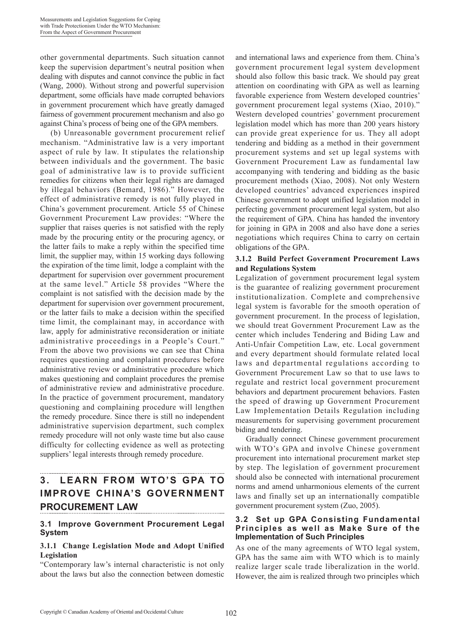other governmental departments. Such situation cannot keep the supervision department's neutral position when dealing with disputes and cannot convince the public in fact (Wang, 2000). Without strong and powerful supervision department, some officials have made corrupted behaviors in government procurement which have greatly damaged fairness of government procurement mechanism and also go against China's process of being one of the GPA members.

(b) Unreasonable government procurement relief mechanism. "Administrative law is a very important aspect of rule by law. It stipulates the relationship between individuals and the government. The basic goal of administrative law is to provide sufficient remedies for citizens when their legal rights are damaged by illegal behaviors (Bemard, 1986)." However, the effect of administrative remedy is not fully played in China's government procurement. Article 55 of Chinese Government Procurement Law provides: "Where the supplier that raises queries is not satisfied with the reply made by the procuring entity or the procuring agency, or the latter fails to make a reply within the specified time limit, the supplier may, within 15 working days following the expiration of the time limit, lodge a complaint with the department for supervision over government procurement at the same level." Article 58 provides "Where the complaint is not satisfied with the decision made by the department for supervision over government procurement, or the latter fails to make a decision within the specified time limit, the complainant may, in accordance with law, apply for administrative reconsideration or initiate administrative proceedings in a People's Court." From the above two provisions we can see that China requires questioning and complaint procedures before administrative review or administrative procedure which makes questioning and complaint procedures the premise of administrative review and administrative procedure. In the practice of government procurement, mandatory questioning and complaining procedure will lengthen the remedy procedure. Since there is still no independent administrative supervision department, such complex remedy procedure will not only waste time but also cause difficulty for collecting evidence as well as protecting suppliers' legal interests through remedy procedure.

# **3. LEARN FROM WTO'S GPA TO IMPROVE CHINA'S GOVERNMENT PROCUREMENT LAW**

### **3.1 Improve Government Procurement Legal System**

### **3.1.1 Change Legislation Mode and Adopt Unified Legislation**

"Contemporary law's internal characteristic is not only about the laws but also the connection between domestic and international laws and experience from them. China's government procurement legal system development should also follow this basic track. We should pay great attention on coordinating with GPA as well as learning favorable experience from Western developed countries' government procurement legal systems (Xiao, 2010)." Western developed countries' government procurement legislation model which has more than 200 years history can provide great experience for us. They all adopt tendering and bidding as a method in their government procurement systems and set up legal systems with Government Procurement Law as fundamental law accompanying with tendering and bidding as the basic procurement methods (Xiao, 2008). Not only Western developed countries' advanced experiences inspired Chinese government to adopt unified legislation model in perfecting government procurement legal system, but also the requirement of GPA. China has handed the inventory for joining in GPA in 2008 and also have done a series negotiations which requires China to carry on certain obligations of the GPA.

#### **3.1.2 Build Perfect Government Procurement Laws and Regulations System**

Legalization of government procurement legal system is the guarantee of realizing government procurement institutionalization. Complete and comprehensive legal system is favorable for the smooth operation of government procurement. In the process of legislation, we should treat Government Procurement Law as the center which includes Tendering and Biding Law and Anti-Unfair Competition Law, etc. Local government and every department should formulate related local laws and departmental regulations according to Government Procurement Law so that to use laws to regulate and restrict local government procurement behaviors and department procurement behaviors. Fasten the speed of drawing up Government Procurement Law Implementation Details Regulation including measurements for supervising government procurement biding and tendering.

Gradually connect Chinese government procurement with WTO's GPA and involve Chinese government procurement into international procurement market step by step. The legislation of government procurement should also be connected with international procurement norms and amend unharmonious elements of the current laws and finally set up an internationally compatible government procurement system (Zuo, 2005).

#### **3.2 Set up GPA Consisting Fundamental Principles as well as Make Sure of the Implementation of Such Principles**

As one of the many agreements of WTO legal system, GPA has the same aim with WTO which is to mainly realize larger scale trade liberalization in the world. However, the aim is realized through two principles which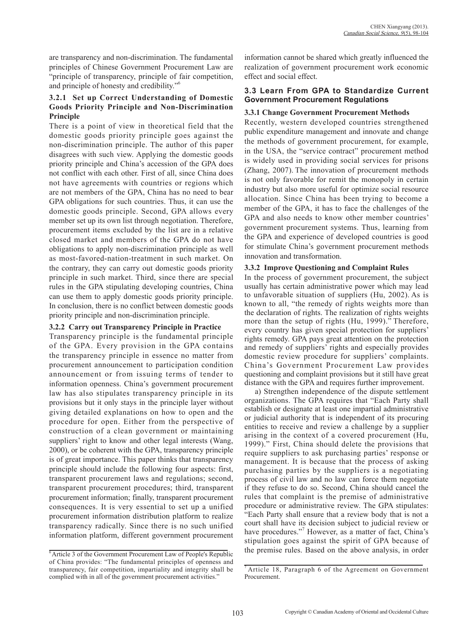are transparency and non-discrimination. The fundamental principles of Chinese Government Procurement Law are "principle of transparency, principle of fair competition, and principle of honesty and credibility."6

#### **3.2.1 Set up Correct Understanding of Domestic Goods Priority Principle and Non-Discrimination Principle**

There is a point of view in theoretical field that the domestic goods priority principle goes against the non-discrimination principle. The author of this paper disagrees with such view. Applying the domestic goods priority principle and China's accession of the GPA does not conflict with each other. First of all, since China does not have agreements with countries or regions which are not members of the GPA, China has no need to bear GPA obligations for such countries. Thus, it can use the domestic goods principle. Second, GPA allows every member set up its own list through negotiation. Therefore, procurement items excluded by the list are in a relative closed market and members of the GPA do not have obligations to apply non-discrimination principle as well as most-favored-nation-treatment in such market. On the contrary, they can carry out domestic goods priority principle in such market. Third, since there are special rules in the GPA stipulating developing countries, China can use them to apply domestic goods priority principle. In conclusion, there is no conflict between domestic goods priority principle and non-discrimination principle.

#### **3.2.2 Carry out Transparency Principle in Practice**

Transparency principle is the fundamental principle of the GPA. Every provision in the GPA contains the transparency principle in essence no matter from procurement announcement to participation condition announcement or from issuing terms of tender to information openness. China's government procurement law has also stipulates transparency principle in its provisions but it only stays in the principle layer without giving detailed explanations on how to open and the procedure for open. Either from the perspective of construction of a clean government or maintaining suppliers' right to know and other legal interests (Wang, 2000), or be coherent with the GPA, transparency principle is of great importance. This paper thinks that transparency principle should include the following four aspects: first, transparent procurement laws and regulations; second, transparent procurement procedures; third, transparent procurement information; finally, transparent procurement consequences. It is very essential to set up a unified procurement information distribution platform to realize transparency radically. Since there is no such unified information platform, different government procurement information cannot be shared which greatly influenced the realization of government procurement work economic effect and social effect.

#### **3.3 Learn From GPA to Standardize Current Government Procurement Regulations**

#### **3.3.1 Change Government Procurement Methods**

Recently, western developed countries strengthened public expenditure management and innovate and change the methods of government procurement, for example, in the USA, the "service contract" procurement method is widely used in providing social services for prisons (Zhang, 2007). The innovation of procurement methods is not only favorable for remit the monopoly in certain industry but also more useful for optimize social resource allocation. Since China has been trying to become a member of the GPA, it has to face the challenges of the GPA and also needs to know other member countries' government procurement systems. Thus, learning from the GPA and experience of developed countries is good for stimulate China's government procurement methods innovation and transformation.

#### **3.3.2 Improve Questioning and Complaint Rules**

In the process of government procurement, the subject usually has certain administrative power which may lead to unfavorable situation of suppliers (Hu, 2002). As is known to all, "the remedy of rights weights more than the declaration of rights. The realization of rights weights more than the setup of rights (Hu, 1999)." Therefore, every country has given special protection for suppliers' rights remedy. GPA pays great attention on the protection and remedy of suppliers' rights and especially provides domestic review procedure for suppliers' complaints. China's Government Procurement Law provides questioning and complaint provisions but it still have great distance with the GPA and requires further improvement.

a) Strengthen independence of the dispute settlement organizations. The GPA requires that "Each Party shall establish or designate at least one impartial administrative or judicial authority that is independent of its procuring entities to receive and review a challenge by a supplier arising in the context of a covered procurement (Hu, 1999)." First, China should delete the provisions that require suppliers to ask purchasing parties' response or management. It is because that the process of asking purchasing parties by the suppliers is a negotiating process of civil law and no law can force them negotiate if they refuse to do so. Second, China should cancel the rules that complaint is the premise of administrative procedure or administrative review. The GPA stipulates: "Each Party shall ensure that a review body that is not a court shall have its decision subject to judicial review or have procedures."<sup>7</sup> However, as a matter of fact, China's stipulation goes against the spirit of GPA because of the premise rules. Based on the above analysis, in order

 $6$  Article 3 of the Government Procurement Law of People's Republic of China provides: "The fundamental principles of openness and transparency, fair competition, impartiality and integrity shall be complied with in all of the government procurement activities."

<sup>7</sup> Article 18, Paragraph 6 of the Agreement on Government Procurement.